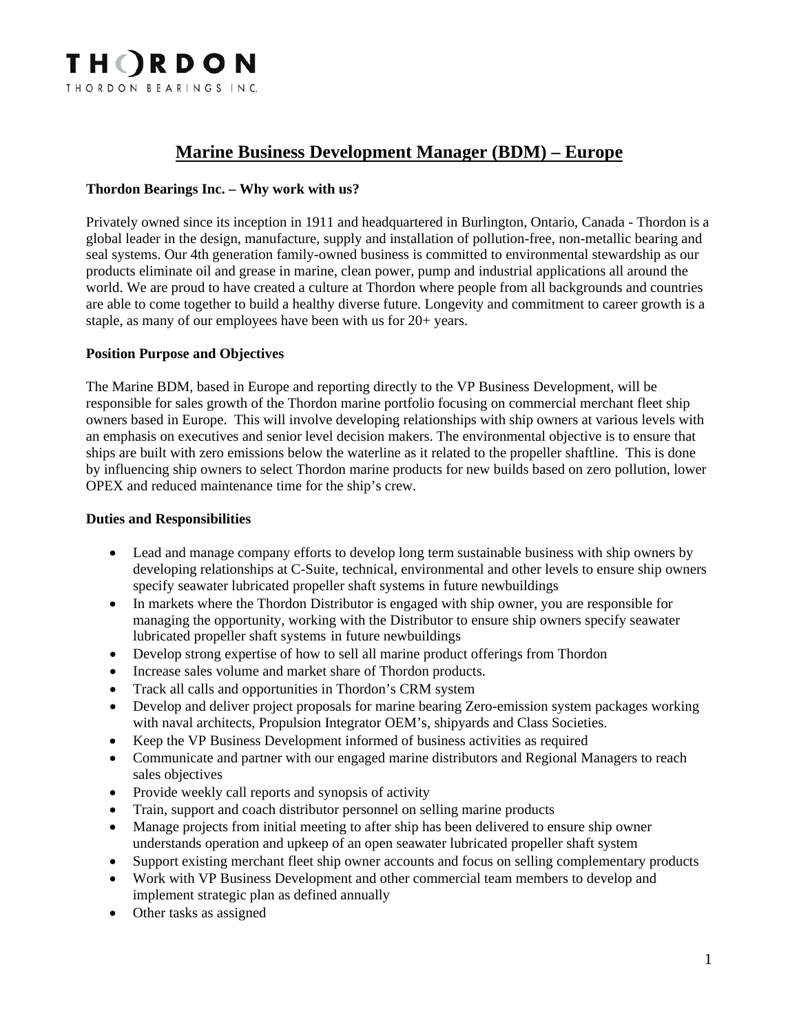

# **Marine Business Development Manager (BDM) – Europe**

### **Thordon Bearings Inc. – Why work with us?**

Privately owned since its inception in 1911 and headquartered in Burlington, Ontario, Canada - Thordon is a global leader in the design, manufacture, supply and installation of pollution-free, non-metallic bearing and seal systems. Our 4th generation family-owned business is committed to environmental stewardship as our products eliminate oil and grease in marine, clean power, pump and industrial applications all around the world. We are proud to have created a culture at Thordon where people from all backgrounds and countries are able to come together to build a healthy diverse future. Longevity and commitment to career growth is a staple, as many of our employees have been with us for 20+ years.

#### **Position Purpose and Objectives**

The Marine BDM, based in Europe and reporting directly to the VP Business Development, will be responsible for sales growth of the Thordon marine portfolio focusing on commercial merchant fleet ship owners based in Europe. This will involve developing relationships with ship owners at various levels with an emphasis on executives and senior level decision makers. The environmental objective is to ensure that ships are built with zero emissions below the waterline as it related to the propeller shaftline. This is done by influencing ship owners to select Thordon marine products for new builds based on zero pollution, lower OPEX and reduced maintenance time for the ship's crew.

#### **Duties and Responsibilities**

- Lead and manage company efforts to develop long term sustainable business with ship owners by developing relationships at C-Suite, technical, environmental and other levels to ensure ship owners specify seawater lubricated propeller shaft systems in future newbuildings
- In markets where the Thordon Distributor is engaged with ship owner, you are responsible for managing the opportunity, working with the Distributor to ensure ship owners specify seawater lubricated propeller shaft systems in future newbuildings
- Develop strong expertise of how to sell all marine product offerings from Thordon
- Increase sales volume and market share of Thordon products.
- Track all calls and opportunities in Thordon's CRM system
- Develop and deliver project proposals for marine bearing Zero-emission system packages working with naval architects, Propulsion Integrator OEM's, shipyards and Class Societies.
- Keep the VP Business Development informed of business activities as required
- Communicate and partner with our engaged marine distributors and Regional Managers to reach sales objectives
- Provide weekly call reports and synopsis of activity
- Train, support and coach distributor personnel on selling marine products
- Manage projects from initial meeting to after ship has been delivered to ensure ship owner understands operation and upkeep of an open seawater lubricated propeller shaft system
- Support existing merchant fleet ship owner accounts and focus on selling complementary products
- Work with VP Business Development and other commercial team members to develop and implement strategic plan as defined annually
- Other tasks as assigned